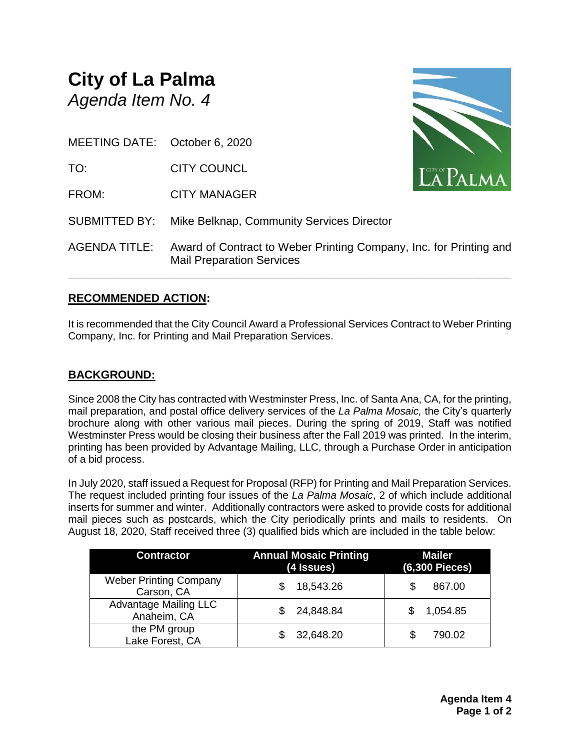# **City of La Palma** *Agenda Item No. 4*

MEETING DATE: October 6, 2020

TO: CITY COUNCL

FROM: CITY MANAGER



SUBMITTED BY: Mike Belknap, Community Services Director

AGENDA TITLE: Award of Contract to Weber Printing Company, Inc. for Printing and Mail Preparation Services

**\_\_\_\_\_\_\_\_\_\_\_\_\_\_\_\_\_\_\_\_\_\_\_\_\_\_\_\_\_\_\_\_\_\_\_\_\_\_\_\_\_\_\_\_\_\_\_\_\_\_\_\_\_\_\_\_\_\_\_\_\_\_\_\_\_\_\_\_\_\_**

## **RECOMMENDED ACTION:**

It is recommended that the City Council Award a Professional Services Contract to Weber Printing Company, Inc. for Printing and Mail Preparation Services.

## **BACKGROUND:**

Since 2008 the City has contracted with Westminster Press, Inc. of Santa Ana, CA, for the printing, mail preparation, and postal office delivery services of the *La Palma Mosaic,* the City's quarterly brochure along with other various mail pieces. During the spring of 2019, Staff was notified Westminster Press would be closing their business after the Fall 2019 was printed. In the interim, printing has been provided by Advantage Mailing, LLC, through a Purchase Order in anticipation of a bid process.

In July 2020, staff issued a Request for Proposal (RFP) for Printing and Mail Preparation Services. The request included printing four issues of the *La Palma Mosaic*, 2 of which include additional inserts for summer and winter. Additionally contractors were asked to provide costs for additional mail pieces such as postcards, which the City periodically prints and mails to residents. On August 18, 2020, Staff received three (3) qualified bids which are included in the table below:

| <b>Contractor</b>                           | <b>Annual Mosaic Printing</b><br>(4 Issues) | <b>Mailer</b><br>(6,300 Pieces) |
|---------------------------------------------|---------------------------------------------|---------------------------------|
| <b>Weber Printing Company</b><br>Carson, CA | 18,543.26                                   | 867.00<br>S                     |
| <b>Advantage Mailing LLC</b><br>Anaheim, CA | 24,848.84                                   | 1,054.85                        |
| the PM group<br>Lake Forest, CA             | 32,648.20                                   | 790.02<br>S                     |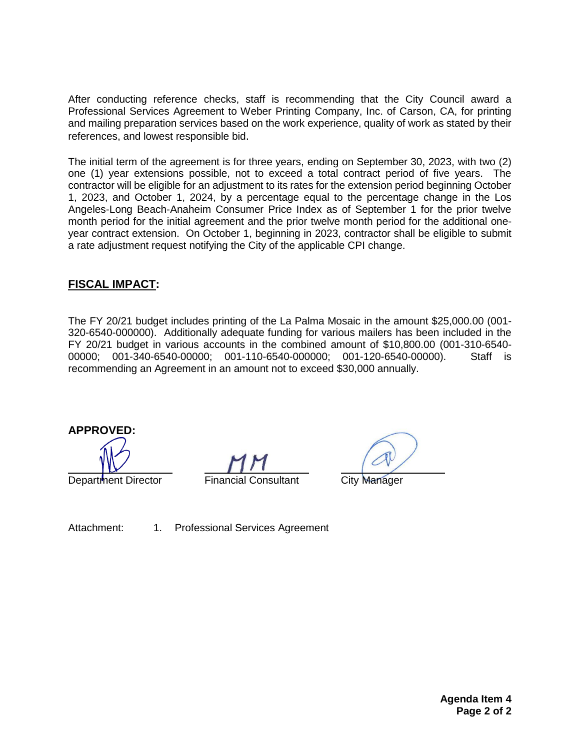After conducting reference checks, staff is recommending that the City Council award a Professional Services Agreement to Weber Printing Company, Inc. of Carson, CA, for printing and mailing preparation services based on the work experience, quality of work as stated by their references, and lowest responsible bid.

The initial term of the agreement is for three years, ending on September 30, 2023, with two (2) one (1) year extensions possible, not to exceed a total contract period of five years. The contractor will be eligible for an adjustment to its rates for the extension period beginning October 1, 2023, and October 1, 2024, by a percentage equal to the percentage change in the Los Angeles-Long Beach-Anaheim Consumer Price Index as of September 1 for the prior twelve month period for the initial agreement and the prior twelve month period for the additional oneyear contract extension. On October 1, beginning in 2023, contractor shall be eligible to submit a rate adjustment request notifying the City of the applicable CPI change.

## **FISCAL IMPACT:**

The FY 20/21 budget includes printing of the La Palma Mosaic in the amount \$25,000.00 (001- 320-6540-000000). Additionally adequate funding for various mailers has been included in the FY 20/21 budget in various accounts in the combined amount of \$10,800.00 (001-310-6540- 00000; 001-340-6540-00000; 001-110-6540-000000; 001-120-6540-00000). Staff is recommending an Agreement in an amount not to exceed \$30,000 annually.

**APPROVED:**

Department Director Financial Consultant City Manager

Attachment: 1. Professional Services Agreement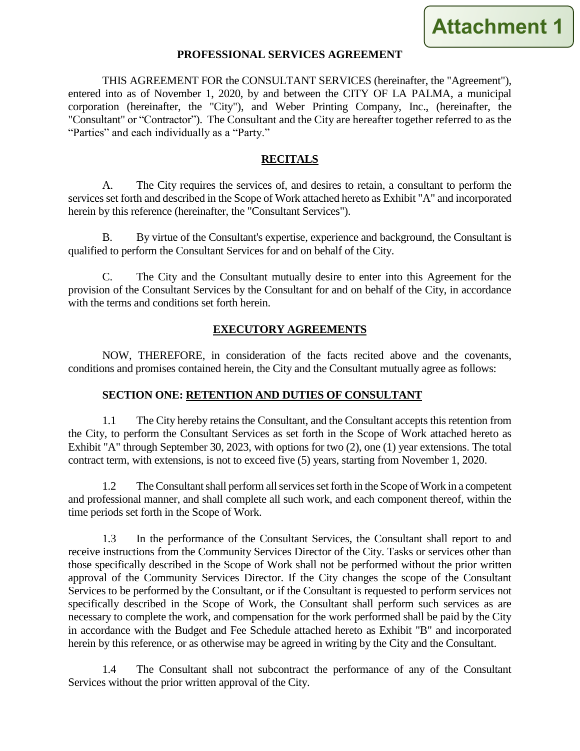

#### **PROFESSIONAL SERVICES AGREEMENT**

THIS AGREEMENT FOR the CONSULTANT SERVICES (hereinafter, the "Agreement"), entered into as of November 1, 2020, by and between the CITY OF LA PALMA, a municipal corporation (hereinafter, the "City"), and Weber Printing Company, Inc., (hereinafter, the "Consultant" or "Contractor"). The Consultant and the City are hereafter together referred to as the "Parties" and each individually as a "Party."

#### **RECITALS**

A. The City requires the services of, and desires to retain, a consultant to perform the services set forth and described in the Scope of Work attached hereto as Exhibit "A" and incorporated herein by this reference (hereinafter, the "Consultant Services").

B. By virtue of the Consultant's expertise, experience and background, the Consultant is qualified to perform the Consultant Services for and on behalf of the City.

C. The City and the Consultant mutually desire to enter into this Agreement for the provision of the Consultant Services by the Consultant for and on behalf of the City, in accordance with the terms and conditions set forth herein.

#### **EXECUTORY AGREEMENTS**

NOW, THEREFORE, in consideration of the facts recited above and the covenants, conditions and promises contained herein, the City and the Consultant mutually agree as follows:

#### **SECTION ONE: RETENTION AND DUTIES OF CONSULTANT**

1.1 The City hereby retains the Consultant, and the Consultant accepts this retention from the City, to perform the Consultant Services as set forth in the Scope of Work attached hereto as Exhibit "A" through September 30, 2023, with options for two (2), one (1) year extensions. The total contract term, with extensions, is not to exceed five (5) years, starting from November 1, 2020.

1.2 The Consultant shall perform all services set forth in the Scope of Work in a competent and professional manner, and shall complete all such work, and each component thereof, within the time periods set forth in the Scope of Work.

1.3 In the performance of the Consultant Services, the Consultant shall report to and receive instructions from the Community Services Director of the City. Tasks or services other than those specifically described in the Scope of Work shall not be performed without the prior written approval of the Community Services Director. If the City changes the scope of the Consultant Services to be performed by the Consultant, or if the Consultant is requested to perform services not specifically described in the Scope of Work, the Consultant shall perform such services as are necessary to complete the work, and compensation for the work performed shall be paid by the City in accordance with the Budget and Fee Schedule attached hereto as Exhibit "B" and incorporated herein by this reference, or as otherwise may be agreed in writing by the City and the Consultant.

1.4 The Consultant shall not subcontract the performance of any of the Consultant Services without the prior written approval of the City.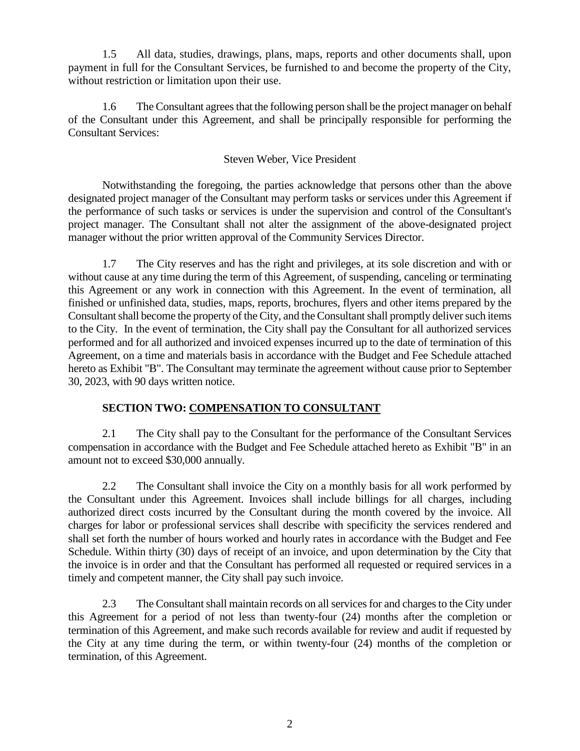1.5 All data, studies, drawings, plans, maps, reports and other documents shall, upon payment in full for the Consultant Services, be furnished to and become the property of the City, without restriction or limitation upon their use.

1.6 The Consultant agrees that the following person shall be the project manager on behalf of the Consultant under this Agreement, and shall be principally responsible for performing the Consultant Services:

#### Steven Weber, Vice President

Notwithstanding the foregoing, the parties acknowledge that persons other than the above designated project manager of the Consultant may perform tasks or services under this Agreement if the performance of such tasks or services is under the supervision and control of the Consultant's project manager. The Consultant shall not alter the assignment of the above-designated project manager without the prior written approval of the Community Services Director.

1.7 The City reserves and has the right and privileges, at its sole discretion and with or without cause at any time during the term of this Agreement, of suspending, canceling or terminating this Agreement or any work in connection with this Agreement. In the event of termination, all finished or unfinished data, studies, maps, reports, brochures, flyers and other items prepared by the Consultant shall become the property of the City, and the Consultant shall promptly deliver such items to the City. In the event of termination, the City shall pay the Consultant for all authorized services performed and for all authorized and invoiced expenses incurred up to the date of termination of this Agreement, on a time and materials basis in accordance with the Budget and Fee Schedule attached hereto as Exhibit "B". The Consultant may terminate the agreement without cause prior to September 30, 2023, with 90 days written notice.

## **SECTION TWO: COMPENSATION TO CONSULTANT**

2.1 The City shall pay to the Consultant for the performance of the Consultant Services compensation in accordance with the Budget and Fee Schedule attached hereto as Exhibit "B" in an amount not to exceed \$30,000 annually.

2.2 The Consultant shall invoice the City on a monthly basis for all work performed by the Consultant under this Agreement. Invoices shall include billings for all charges, including authorized direct costs incurred by the Consultant during the month covered by the invoice. All charges for labor or professional services shall describe with specificity the services rendered and shall set forth the number of hours worked and hourly rates in accordance with the Budget and Fee Schedule. Within thirty (30) days of receipt of an invoice, and upon determination by the City that the invoice is in order and that the Consultant has performed all requested or required services in a timely and competent manner, the City shall pay such invoice.

2.3 The Consultant shall maintain records on all servicesfor and charges to the City under this Agreement for a period of not less than twenty-four (24) months after the completion or termination of this Agreement, and make such records available for review and audit if requested by the City at any time during the term, or within twenty-four (24) months of the completion or termination, of this Agreement.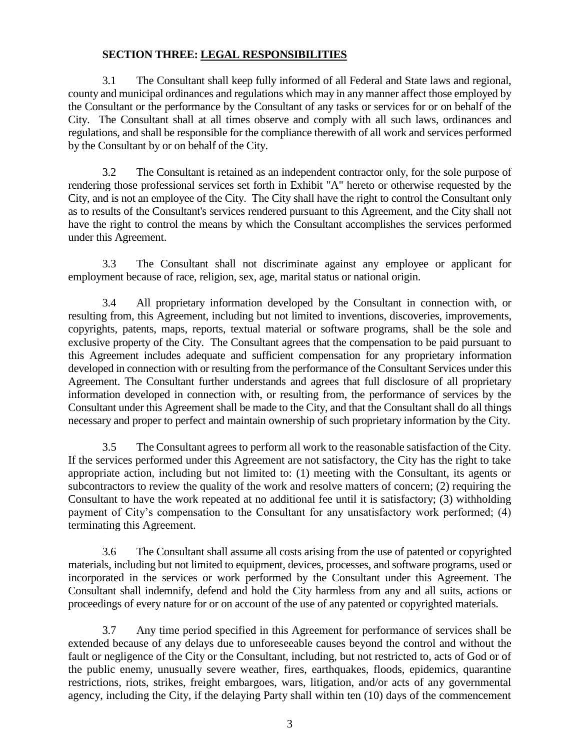#### **SECTION THREE: LEGAL RESPONSIBILITIES**

3.1 The Consultant shall keep fully informed of all Federal and State laws and regional, county and municipal ordinances and regulations which may in any manner affect those employed by the Consultant or the performance by the Consultant of any tasks or services for or on behalf of the City. The Consultant shall at all times observe and comply with all such laws, ordinances and regulations, and shall be responsible for the compliance therewith of all work and services performed by the Consultant by or on behalf of the City.

3.2 The Consultant is retained as an independent contractor only, for the sole purpose of rendering those professional services set forth in Exhibit "A" hereto or otherwise requested by the City, and is not an employee of the City. The City shall have the right to control the Consultant only as to results of the Consultant's services rendered pursuant to this Agreement, and the City shall not have the right to control the means by which the Consultant accomplishes the services performed under this Agreement.

3.3 The Consultant shall not discriminate against any employee or applicant for employment because of race, religion, sex, age, marital status or national origin.

3.4 All proprietary information developed by the Consultant in connection with, or resulting from, this Agreement, including but not limited to inventions, discoveries, improvements, copyrights, patents, maps, reports, textual material or software programs, shall be the sole and exclusive property of the City. The Consultant agrees that the compensation to be paid pursuant to this Agreement includes adequate and sufficient compensation for any proprietary information developed in connection with or resulting from the performance of the Consultant Services under this Agreement. The Consultant further understands and agrees that full disclosure of all proprietary information developed in connection with, or resulting from, the performance of services by the Consultant under this Agreement shall be made to the City, and that the Consultant shall do all things necessary and proper to perfect and maintain ownership of such proprietary information by the City.

3.5 The Consultant agrees to perform all work to the reasonable satisfaction of the City. If the services performed under this Agreement are not satisfactory, the City has the right to take appropriate action, including but not limited to: (1) meeting with the Consultant, its agents or subcontractors to review the quality of the work and resolve matters of concern; (2) requiring the Consultant to have the work repeated at no additional fee until it is satisfactory; (3) withholding payment of City's compensation to the Consultant for any unsatisfactory work performed; (4) terminating this Agreement.

3.6 The Consultant shall assume all costs arising from the use of patented or copyrighted materials, including but not limited to equipment, devices, processes, and software programs, used or incorporated in the services or work performed by the Consultant under this Agreement. The Consultant shall indemnify, defend and hold the City harmless from any and all suits, actions or proceedings of every nature for or on account of the use of any patented or copyrighted materials.

3.7 Any time period specified in this Agreement for performance of services shall be extended because of any delays due to unforeseeable causes beyond the control and without the fault or negligence of the City or the Consultant, including, but not restricted to, acts of God or of the public enemy, unusually severe weather, fires, earthquakes, floods, epidemics, quarantine restrictions, riots, strikes, freight embargoes, wars, litigation, and/or acts of any governmental agency, including the City, if the delaying Party shall within ten (10) days of the commencement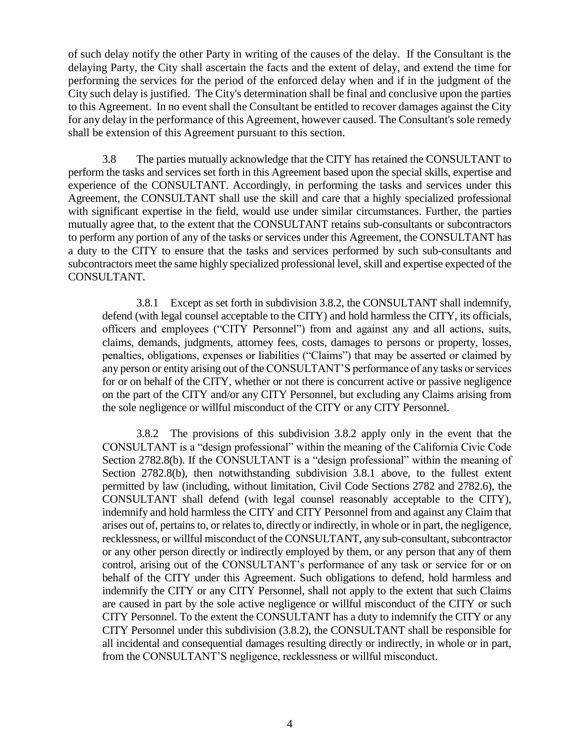of such delay notify the other Party in writing of the causes of the delay. If the Consultant is the delaying Party, the City shall ascertain the facts and the extent of delay, and extend the time for performing the services for the period of the enforced delay when and if in the judgment of the City such delay is justified. The City's determination shall be final and conclusive upon the parties to this Agreement. In no event shall the Consultant be entitled to recover damages against the City for any delay in the performance of this Agreement, however caused. The Consultant's sole remedy shall be extension of this Agreement pursuant to this section.

3.8 The parties mutually acknowledge that the CITY has retained the CONSULTANT to perform the tasks and services set forth in this Agreement based upon the special skills, expertise and experience of the CONSULTANT. Accordingly, in performing the tasks and services under this Agreement, the CONSULTANT shall use the skill and care that a highly specialized professional with significant expertise in the field, would use under similar circumstances. Further, the parties mutually agree that, to the extent that the CONSULTANT retains sub-consultants or subcontractors to perform any portion of any of the tasks or services under this Agreement, the CONSULTANT has a duty to the CITY to ensure that the tasks and services performed by such sub-consultants and subcontractors meet the same highly specialized professional level, skill and expertise expected of the CONSULTANT.

3.8.1 Except as set forth in subdivision 3.8.2, the CONSULTANT shall indemnify, defend (with legal counsel acceptable to the CITY) and hold harmless the CITY, its officials, officers and employees ("CITY Personnel") from and against any and all actions, suits, claims, demands, judgments, attorney fees, costs, damages to persons or property, losses, penalties, obligations, expenses or liabilities ("Claims") that may be asserted or claimed by any person or entity arising out of the CONSULTANT'S performance of any tasks or services for or on behalf of the CITY, whether or not there is concurrent active or passive negligence on the part of the CITY and/or any CITY Personnel, but excluding any Claims arising from the sole negligence or willful misconduct of the CITY or any CITY Personnel.

3.8.2 The provisions of this subdivision 3.8.2 apply only in the event that the CONSULTANT is a "design professional" within the meaning of the California Civic Code Section 2782.8(b). If the CONSULTANT is a "design professional" within the meaning of Section 2782.8(b), then notwithstanding subdivision 3.8.1 above, to the fullest extent permitted by law (including, without limitation, Civil Code Sections 2782 and 2782.6), the CONSULTANT shall defend (with legal counsel reasonably acceptable to the CITY), indemnify and hold harmless the CITY and CITY Personnel from and against any Claim that arises out of, pertains to, or relates to, directly or indirectly, in whole or in part, the negligence, recklessness, or willful misconduct of the CONSULTANT, any sub-consultant, subcontractor or any other person directly or indirectly employed by them, or any person that any of them control, arising out of the CONSULTANT's performance of any task or service for or on behalf of the CITY under this Agreement. Such obligations to defend, hold harmless and indemnify the CITY or any CITY Personnel, shall not apply to the extent that such Claims are caused in part by the sole active negligence or willful misconduct of the CITY or such CITY Personnel. To the extent the CONSULTANT has a duty to indemnify the CITY or any CITY Personnel under this subdivision (3.8.2), the CONSULTANT shall be responsible for all incidental and consequential damages resulting directly or indirectly, in whole or in part, from the CONSULTANT'S negligence, recklessness or willful misconduct.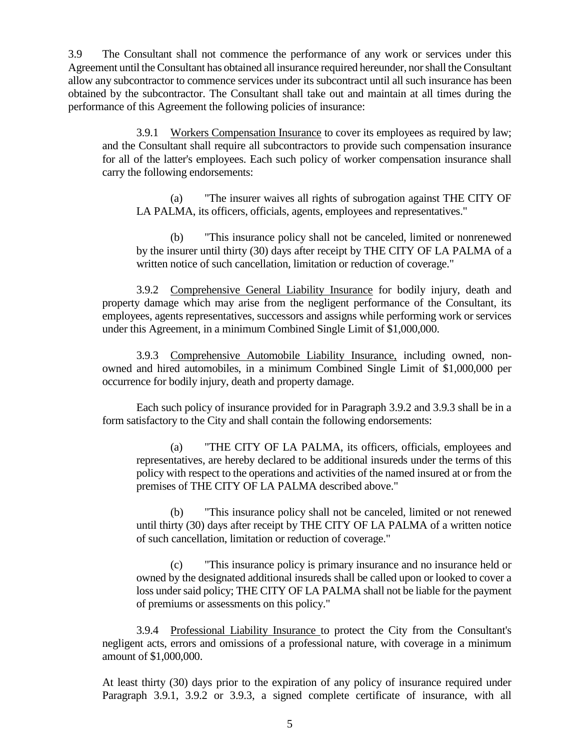3.9 The Consultant shall not commence the performance of any work or services under this Agreement until the Consultant has obtained all insurance required hereunder, nor shall the Consultant allow any subcontractor to commence services under its subcontract until all such insurance has been obtained by the subcontractor. The Consultant shall take out and maintain at all times during the performance of this Agreement the following policies of insurance:

3.9.1 Workers Compensation Insurance to cover its employees as required by law; and the Consultant shall require all subcontractors to provide such compensation insurance for all of the latter's employees. Each such policy of worker compensation insurance shall carry the following endorsements:

(a) "The insurer waives all rights of subrogation against THE CITY OF LA PALMA, its officers, officials, agents, employees and representatives."

(b) "This insurance policy shall not be canceled, limited or nonrenewed by the insurer until thirty (30) days after receipt by THE CITY OF LA PALMA of a written notice of such cancellation, limitation or reduction of coverage."

3.9.2 Comprehensive General Liability Insurance for bodily injury, death and property damage which may arise from the negligent performance of the Consultant, its employees, agents representatives, successors and assigns while performing work or services under this Agreement, in a minimum Combined Single Limit of \$1,000,000.

3.9.3 Comprehensive Automobile Liability Insurance, including owned, nonowned and hired automobiles, in a minimum Combined Single Limit of \$1,000,000 per occurrence for bodily injury, death and property damage.

Each such policy of insurance provided for in Paragraph 3.9.2 and 3.9.3 shall be in a form satisfactory to the City and shall contain the following endorsements:

(a) "THE CITY OF LA PALMA, its officers, officials, employees and representatives, are hereby declared to be additional insureds under the terms of this policy with respect to the operations and activities of the named insured at or from the premises of THE CITY OF LA PALMA described above."

(b) "This insurance policy shall not be canceled, limited or not renewed until thirty (30) days after receipt by THE CITY OF LA PALMA of a written notice of such cancellation, limitation or reduction of coverage."

(c) "This insurance policy is primary insurance and no insurance held or owned by the designated additional insureds shall be called upon or looked to cover a loss under said policy; THE CITY OF LA PALMA shall not be liable for the payment of premiums or assessments on this policy."

3.9.4 Professional Liability Insurance to protect the City from the Consultant's negligent acts, errors and omissions of a professional nature, with coverage in a minimum amount of \$1,000,000.

At least thirty (30) days prior to the expiration of any policy of insurance required under Paragraph 3.9.1, 3.9.2 or 3.9.3, a signed complete certificate of insurance, with all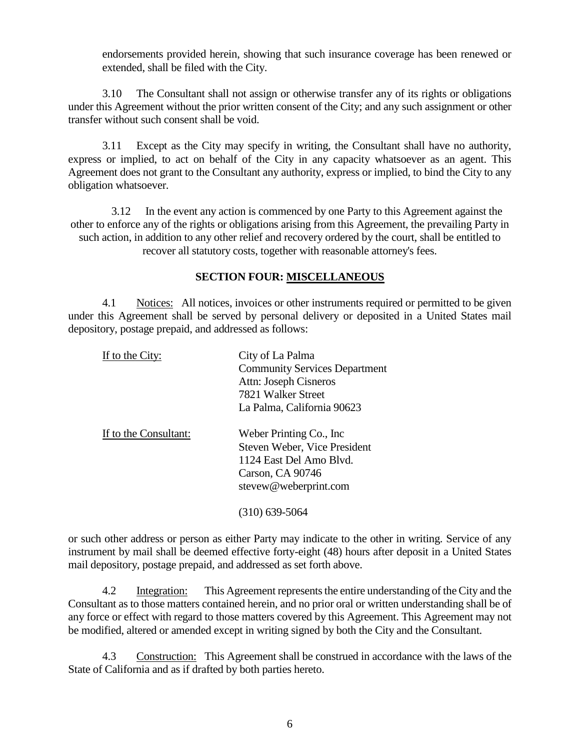endorsements provided herein, showing that such insurance coverage has been renewed or extended, shall be filed with the City.

3.10 The Consultant shall not assign or otherwise transfer any of its rights or obligations under this Agreement without the prior written consent of the City; and any such assignment or other transfer without such consent shall be void.

3.11 Except as the City may specify in writing, the Consultant shall have no authority, express or implied, to act on behalf of the City in any capacity whatsoever as an agent. This Agreement does not grant to the Consultant any authority, express or implied, to bind the City to any obligation whatsoever.

3.12 In the event any action is commenced by one Party to this Agreement against the other to enforce any of the rights or obligations arising from this Agreement, the prevailing Party in such action, in addition to any other relief and recovery ordered by the court, shall be entitled to recover all statutory costs, together with reasonable attorney's fees.

#### **SECTION FOUR: MISCELLANEOUS**

4.1 Notices: All notices, invoices or other instruments required or permitted to be given under this Agreement shall be served by personal delivery or deposited in a United States mail depository, postage prepaid, and addressed as follows:

| If to the City:       | City of La Palma                     |  |
|-----------------------|--------------------------------------|--|
|                       | <b>Community Services Department</b> |  |
|                       | Attn: Joseph Cisneros                |  |
|                       | 7821 Walker Street                   |  |
|                       | La Palma, California 90623           |  |
| If to the Consultant: | Weber Printing Co., Inc.             |  |
|                       | Steven Weber, Vice President         |  |
|                       | 1124 East Del Amo Blvd.              |  |
|                       | Carson, CA 90746                     |  |
|                       | stevew@weberprint.com                |  |
|                       | (310) 639-5064                       |  |

or such other address or person as either Party may indicate to the other in writing. Service of any instrument by mail shall be deemed effective forty-eight (48) hours after deposit in a United States mail depository, postage prepaid, and addressed as set forth above.

4.2 Integration: This Agreement represents the entire understanding of the City and the Consultant as to those matters contained herein, and no prior oral or written understanding shall be of any force or effect with regard to those matters covered by this Agreement. This Agreement may not be modified, altered or amended except in writing signed by both the City and the Consultant.

4.3 Construction: This Agreement shall be construed in accordance with the laws of the State of California and as if drafted by both parties hereto.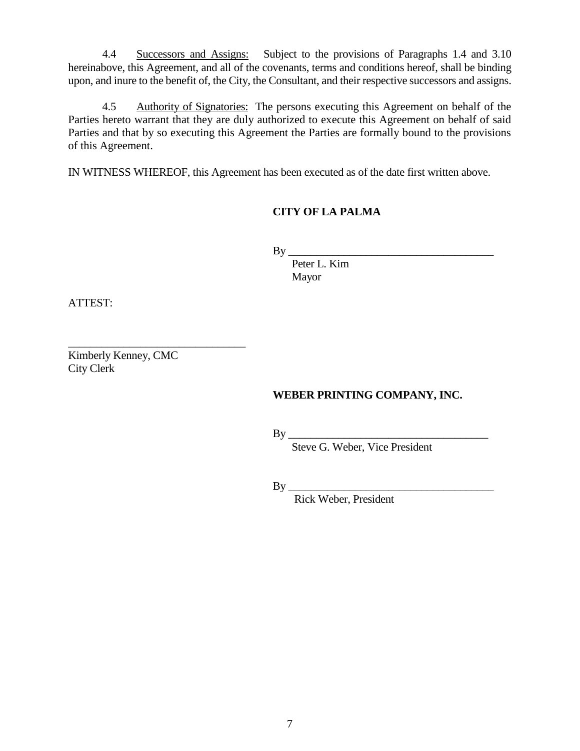4.4 Successors and Assigns: Subject to the provisions of Paragraphs 1.4 and 3.10 hereinabove, this Agreement, and all of the covenants, terms and conditions hereof, shall be binding upon, and inure to the benefit of, the City, the Consultant, and their respective successors and assigns.

4.5 Authority of Signatories: The persons executing this Agreement on behalf of the Parties hereto warrant that they are duly authorized to execute this Agreement on behalf of said Parties and that by so executing this Agreement the Parties are formally bound to the provisions of this Agreement.

IN WITNESS WHEREOF, this Agreement has been executed as of the date first written above.

## **CITY OF LA PALMA**

By \_\_\_\_\_\_\_\_\_\_\_\_\_\_\_\_\_\_\_\_\_\_\_\_\_\_\_\_\_\_\_\_\_\_\_\_\_

 Peter L. Kim Mayor

ATTEST:

Kimberly Kenney, CMC City Clerk

\_\_\_\_\_\_\_\_\_\_\_\_\_\_\_\_\_\_\_\_\_\_\_\_\_\_\_\_\_\_\_\_

### **WEBER PRINTING COMPANY, INC.**

By \_\_\_\_\_\_\_\_\_\_\_\_\_\_\_\_\_\_\_\_\_\_\_\_\_\_\_\_\_\_\_\_\_\_\_\_

Steve G. Weber, Vice President

By \_\_\_\_\_\_\_\_\_\_\_\_\_\_\_\_\_\_\_\_\_\_\_\_\_\_\_\_\_\_\_\_\_\_\_\_\_

Rick Weber, President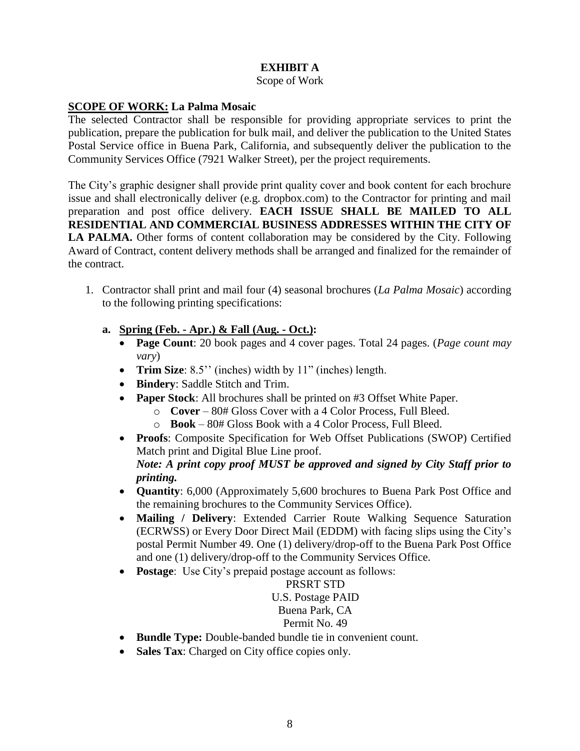## **EXHIBIT A**

#### Scope of Work

#### **SCOPE OF WORK: La Palma Mosaic**

The selected Contractor shall be responsible for providing appropriate services to print the publication, prepare the publication for bulk mail, and deliver the publication to the United States Postal Service office in Buena Park, California, and subsequently deliver the publication to the Community Services Office (7921 Walker Street), per the project requirements.

The City's graphic designer shall provide print quality cover and book content for each brochure issue and shall electronically deliver (e.g. dropbox.com) to the Contractor for printing and mail preparation and post office delivery. **EACH ISSUE SHALL BE MAILED TO ALL RESIDENTIAL AND COMMERCIAL BUSINESS ADDRESSES WITHIN THE CITY OF LA PALMA.** Other forms of content collaboration may be considered by the City. Following Award of Contract, content delivery methods shall be arranged and finalized for the remainder of the contract.

- 1. Contractor shall print and mail four (4) seasonal brochures (*La Palma Mosaic*) according to the following printing specifications:
	- **a. Spring (Feb. - Apr.) & Fall (Aug. - Oct.):**
		- **Page Count**: 20 book pages and 4 cover pages. Total 24 pages. (*Page count may vary*)
		- **Trim Size**: 8.5'' (inches) width by 11" (inches) length.
		- **Bindery**: Saddle Stitch and Trim.
		- **Paper Stock**: All brochures shall be printed on #3 Offset White Paper.
			- o **Cover** 80# Gloss Cover with a 4 Color Process, Full Bleed.
			- o **Book** 80# Gloss Book with a 4 Color Process, Full Bleed.
		- **Proofs**: Composite Specification for Web Offset Publications (SWOP) Certified Match print and Digital Blue Line proof. *Note: A print copy proof MUST be approved and signed by City Staff prior to printing.*
		- **Quantity**: 6,000 (Approximately 5,600 brochures to Buena Park Post Office and the remaining brochures to the Community Services Office).
		- **Mailing / Delivery**: Extended Carrier Route Walking Sequence Saturation (ECRWSS) or Every Door Direct Mail (EDDM) with facing slips using the City's postal Permit Number 49. One (1) delivery/drop-off to the Buena Park Post Office and one (1) delivery/drop-off to the Community Services Office.
		- **Postage**: Use City's prepaid postage account as follows:

#### PRSRT STD U.S. Postage PAID Buena Park, CA Permit No. 49

- Bundle Type: Double-banded bundle tie in convenient count.
- Sales Tax: Charged on City office copies only.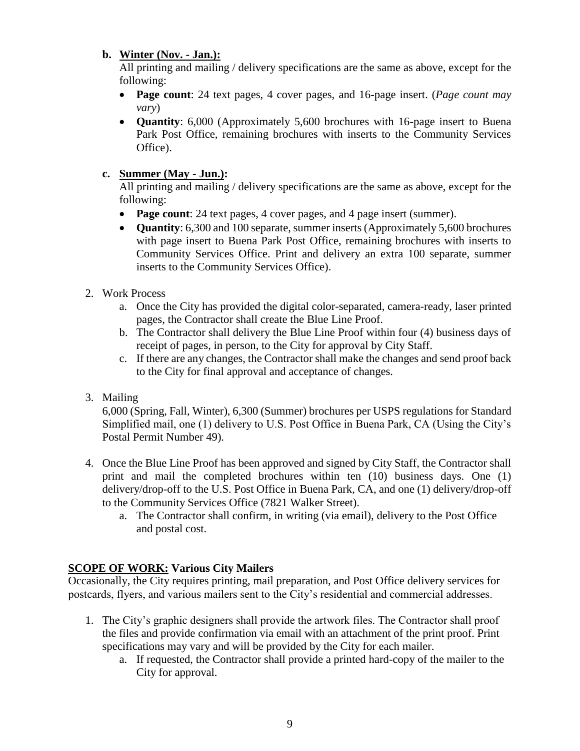## **b. Winter (Nov. - Jan.):**

All printing and mailing / delivery specifications are the same as above, except for the following:

- **Page count**: 24 text pages, 4 cover pages, and 16-page insert. (*Page count may vary*)
- **Quantity**: 6,000 (Approximately 5,600 brochures with 16-page insert to Buena Park Post Office, remaining brochures with inserts to the Community Services Office).

## **c. Summer (May - Jun.):**

All printing and mailing / delivery specifications are the same as above, except for the following:

- **Page count**: 24 text pages, 4 cover pages, and 4 page insert (summer).
- **Quantity**: 6,300 and 100 separate, summer inserts (Approximately 5,600 brochures with page insert to Buena Park Post Office, remaining brochures with inserts to Community Services Office. Print and delivery an extra 100 separate, summer inserts to the Community Services Office).
- 2. Work Process
	- a. Once the City has provided the digital color-separated, camera-ready, laser printed pages, the Contractor shall create the Blue Line Proof.
	- b. The Contractor shall delivery the Blue Line Proof within four (4) business days of receipt of pages, in person, to the City for approval by City Staff.
	- c. If there are any changes, the Contractor shall make the changes and send proof back to the City for final approval and acceptance of changes.
- 3. Mailing

6,000 (Spring, Fall, Winter), 6,300 (Summer) brochures per USPS regulations for Standard Simplified mail, one (1) delivery to U.S. Post Office in Buena Park, CA (Using the City's Postal Permit Number 49).

- 4. Once the Blue Line Proof has been approved and signed by City Staff, the Contractor shall print and mail the completed brochures within ten (10) business days. One (1) delivery/drop-off to the U.S. Post Office in Buena Park, CA, and one (1) delivery/drop-off to the Community Services Office (7821 Walker Street).
	- a. The Contractor shall confirm, in writing (via email), delivery to the Post Office and postal cost.

## **SCOPE OF WORK: Various City Mailers**

Occasionally, the City requires printing, mail preparation, and Post Office delivery services for postcards, flyers, and various mailers sent to the City's residential and commercial addresses.

- 1. The City's graphic designers shall provide the artwork files. The Contractor shall proof the files and provide confirmation via email with an attachment of the print proof. Print specifications may vary and will be provided by the City for each mailer.
	- a. If requested, the Contractor shall provide a printed hard-copy of the mailer to the City for approval.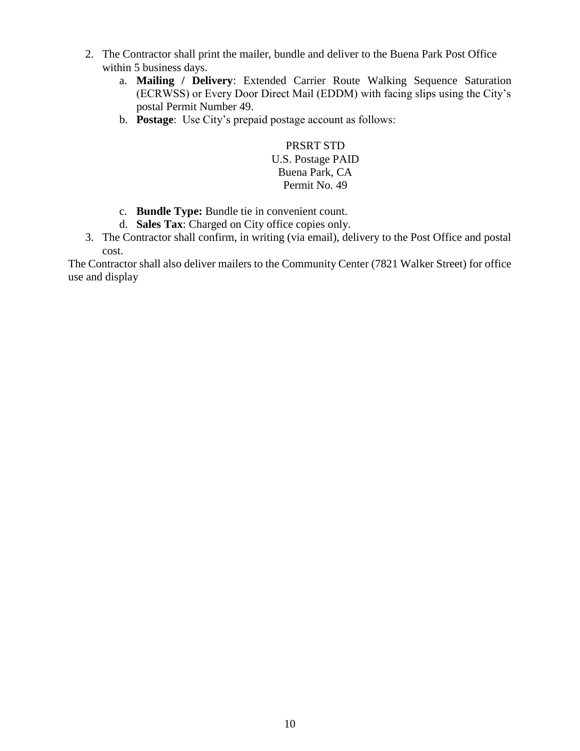- 2. The Contractor shall print the mailer, bundle and deliver to the Buena Park Post Office within 5 business days.
	- a. **Mailing / Delivery**: Extended Carrier Route Walking Sequence Saturation (ECRWSS) or Every Door Direct Mail (EDDM) with facing slips using the City's postal Permit Number 49.
	- b. **Postage**: Use City's prepaid postage account as follows:

PRSRT STD U.S. Postage PAID Buena Park, CA Permit No. 49

- c. **Bundle Type:** Bundle tie in convenient count.
- d. **Sales Tax**: Charged on City office copies only.
- 3. The Contractor shall confirm, in writing (via email), delivery to the Post Office and postal cost.

The Contractor shall also deliver mailers to the Community Center (7821 Walker Street) for office use and display